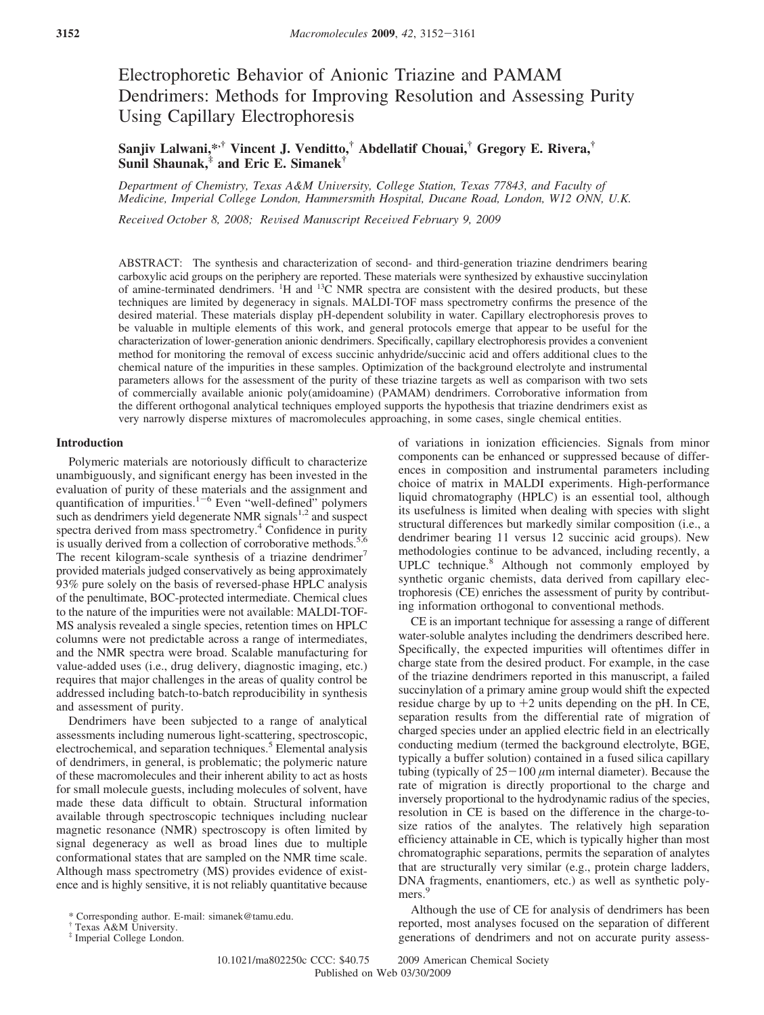# Electrophoretic Behavior of Anionic Triazine and PAMAM Dendrimers: Methods for Improving Resolution and Assessing Purity Using Capillary Electrophoresis

**Sanjiv Lalwani,\*,† Vincent J. Venditto,† Abdellatif Chouai,† Gregory E. Rivera,† Sunil Shaunak,‡ and Eric E. Simanek†**

*Department of Chemistry, Texas A&M Uni*V*ersity, College Station, Texas 77843, and Faculty of Medicine, Imperial College London, Hammersmith Hospital, Ducane Road, London, W12 ONN, U.K.*

*Recei*V*ed October 8, 2008; Re*V*ised Manuscript Recei*V*ed February 9, 2009*

ABSTRACT: The synthesis and characterization of second- and third-generation triazine dendrimers bearing carboxylic acid groups on the periphery are reported. These materials were synthesized by exhaustive succinylation of amine-terminated dendrimers. <sup>1</sup>H and <sup>13</sup>C NMR spectra are consistent with the desired products, but these techniques are limited by degeneracy in signals. MALDI-TOF mass spectrometry confirms the presence of the desired material. These materials display pH-dependent solubility in water. Capillary electrophoresis proves to be valuable in multiple elements of this work, and general protocols emerge that appear to be useful for the characterization of lower-generation anionic dendrimers. Specifically, capillary electrophoresis provides a convenient method for monitoring the removal of excess succinic anhydride/succinic acid and offers additional clues to the chemical nature of the impurities in these samples. Optimization of the background electrolyte and instrumental parameters allows for the assessment of the purity of these triazine targets as well as comparison with two sets of commercially available anionic poly(amidoamine) (PAMAM) dendrimers. Corroborative information from the different orthogonal analytical techniques employed supports the hypothesis that triazine dendrimers exist as very narrowly disperse mixtures of macromolecules approaching, in some cases, single chemical entities.

## **Introduction**

Polymeric materials are notoriously difficult to characterize unambiguously, and significant energy has been invested in the evaluation of purity of these materials and the assignment and quantification of impurities. $1-6$  Even "well-defined" polymers such as dendrimers yield degenerate NMR signals $1,2$  and suspect spectra derived from mass spectrometry.<sup>4</sup> Confidence in purity is usually derived from a collection of corroborative methods.<sup>5,6</sup> The recent kilogram-scale synthesis of a triazine dendrimer<sup>7</sup> provided materials judged conservatively as being approximately 93% pure solely on the basis of reversed-phase HPLC analysis of the penultimate, BOC-protected intermediate. Chemical clues to the nature of the impurities were not available: MALDI-TOF-MS analysis revealed a single species, retention times on HPLC columns were not predictable across a range of intermediates, and the NMR spectra were broad. Scalable manufacturing for value-added uses (i.e., drug delivery, diagnostic imaging, etc.) requires that major challenges in the areas of quality control be addressed including batch-to-batch reproducibility in synthesis and assessment of purity.

Dendrimers have been subjected to a range of analytical assessments including numerous light-scattering, spectroscopic, electrochemical, and separation techniques.<sup>5</sup> Elemental analysis of dendrimers, in general, is problematic; the polymeric nature of these macromolecules and their inherent ability to act as hosts for small molecule guests, including molecules of solvent, have made these data difficult to obtain. Structural information available through spectroscopic techniques including nuclear magnetic resonance (NMR) spectroscopy is often limited by signal degeneracy as well as broad lines due to multiple conformational states that are sampled on the NMR time scale. Although mass spectrometry (MS) provides evidence of existence and is highly sensitive, it is not reliably quantitative because

 $*$  Imperial College London.

of variations in ionization efficiencies. Signals from minor components can be enhanced or suppressed because of differences in composition and instrumental parameters including choice of matrix in MALDI experiments. High-performance liquid chromatography (HPLC) is an essential tool, although its usefulness is limited when dealing with species with slight structural differences but markedly similar composition (i.e., a dendrimer bearing 11 versus 12 succinic acid groups). New methodologies continue to be advanced, including recently, a UPLC technique.<sup>8</sup> Although not commonly employed by synthetic organic chemists, data derived from capillary electrophoresis (CE) enriches the assessment of purity by contributing information orthogonal to conventional methods.

CE is an important technique for assessing a range of different water-soluble analytes including the dendrimers described here. Specifically, the expected impurities will oftentimes differ in charge state from the desired product. For example, in the case of the triazine dendrimers reported in this manuscript, a failed succinylation of a primary amine group would shift the expected residue charge by up to  $+2$  units depending on the pH. In CE, separation results from the differential rate of migration of charged species under an applied electric field in an electrically conducting medium (termed the background electrolyte, BGE, typically a buffer solution) contained in a fused silica capillary tubing (typically of  $25-100 \mu m$  internal diameter). Because the rate of migration is directly proportional to the charge and inversely proportional to the hydrodynamic radius of the species, resolution in CE is based on the difference in the charge-tosize ratios of the analytes. The relatively high separation efficiency attainable in CE, which is typically higher than most chromatographic separations, permits the separation of analytes that are structurally very similar (e.g., protein charge ladders, DNA fragments, enantiomers, etc.) as well as synthetic polymers.<sup>9</sup>

Although the use of CE for analysis of dendrimers has been reported, most analyses focused on the separation of different generations of dendrimers and not on accurate purity assess-

10.1021/ma802250c CCC: \$40.75 2009 American Chemical Society Published on Web 03/30/2009

<sup>\*</sup> Corresponding author. E-mail: simanek@tamu.edu.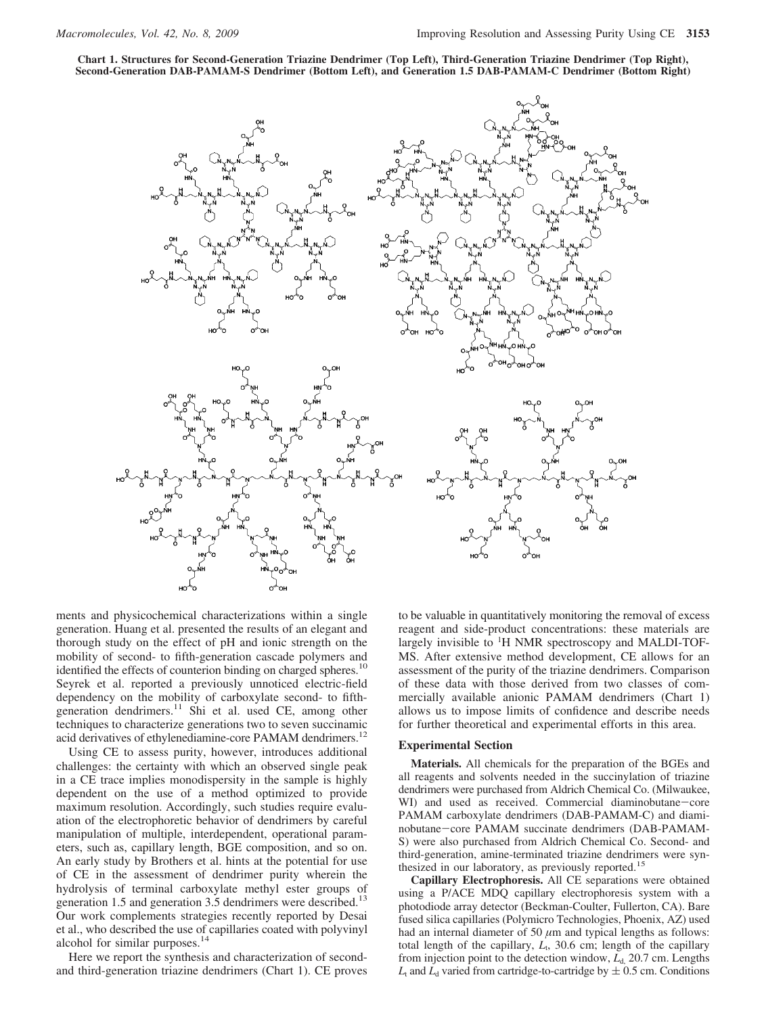**Chart 1. Structures for Second-Generation Triazine Dendrimer (Top Left), Third-Generation Triazine Dendrimer (Top Right), Second-Generation DAB-PAMAM-S Dendrimer (Bottom Left), and Generation 1.5 DAB-PAMAM-C Dendrimer (Bottom Right)**



ments and physicochemical characterizations within a single generation. Huang et al. presented the results of an elegant and thorough study on the effect of pH and ionic strength on the mobility of second- to fifth-generation cascade polymers and identified the effects of counterion binding on charged spheres.<sup>10</sup> Seyrek et al. reported a previously unnoticed electric-field dependency on the mobility of carboxylate second- to fifthgeneration dendrimers.<sup>11</sup> Shi et al. used CE, among other techniques to characterize generations two to seven succinamic acid derivatives of ethylenediamine-core PAMAM dendrimers.<sup>12</sup>

Using CE to assess purity, however, introduces additional challenges: the certainty with which an observed single peak in a CE trace implies monodispersity in the sample is highly dependent on the use of a method optimized to provide maximum resolution. Accordingly, such studies require evaluation of the electrophoretic behavior of dendrimers by careful manipulation of multiple, interdependent, operational parameters, such as, capillary length, BGE composition, and so on. An early study by Brothers et al. hints at the potential for use of CE in the assessment of dendrimer purity wherein the hydrolysis of terminal carboxylate methyl ester groups of generation 1.5 and generation 3.5 dendrimers were described.<sup>13</sup> Our work complements strategies recently reported by Desai et al., who described the use of capillaries coated with polyvinyl alcohol for similar purposes.<sup>14</sup>

Here we report the synthesis and characterization of secondand third-generation triazine dendrimers (Chart 1). CE proves to be valuable in quantitatively monitoring the removal of excess reagent and side-product concentrations: these materials are largely invisible to <sup>1</sup>H NMR spectroscopy and MALDI-TOF-MS. After extensive method development, CE allows for an assessment of the purity of the triazine dendrimers. Comparison of these data with those derived from two classes of commercially available anionic PAMAM dendrimers (Chart 1) allows us to impose limits of confidence and describe needs for further theoretical and experimental efforts in this area.

#### **Experimental Section**

**Materials.** All chemicals for the preparation of the BGEs and all reagents and solvents needed in the succinylation of triazine dendrimers were purchased from Aldrich Chemical Co. (Milwaukee, WI) and used as received. Commercial diaminobutane-core PAMAM carboxylate dendrimers (DAB-PAMAM-C) and diaminobutane-core PAMAM succinate dendrimers (DAB-PAMAM-S) were also purchased from Aldrich Chemical Co. Second- and third-generation, amine-terminated triazine dendrimers were synthesized in our laboratory, as previously reported.<sup>15</sup>

**Capillary Electrophoresis.** All CE separations were obtained using a P/ACE MDQ capillary electrophoresis system with a photodiode array detector (Beckman-Coulter, Fullerton, CA). Bare fused silica capillaries (Polymicro Technologies, Phoenix, AZ) used had an internal diameter of 50  $\mu$ m and typical lengths as follows: total length of the capillary,  $L_t$ , 30.6 cm; length of the capillary from injection point to the detection window, *L*<sub>d</sub>, 20.7 cm. Lengths  $L_t$  and  $L_d$  varied from cartridge-to-cartridge by  $\pm$  0.5 cm. Conditions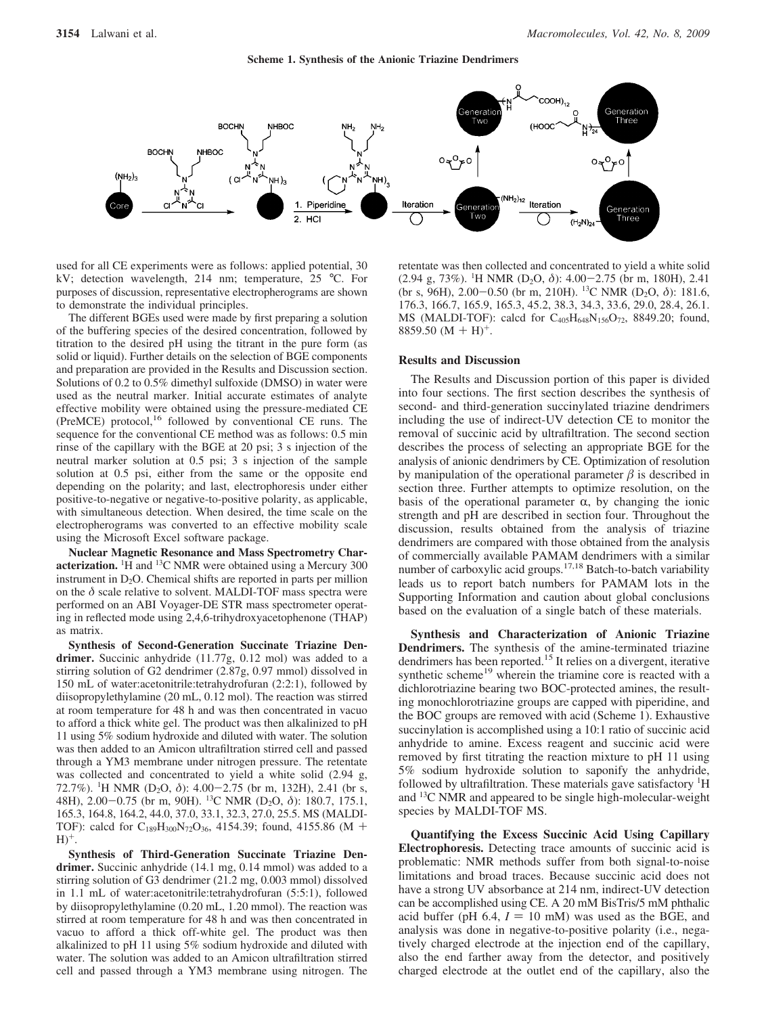

used for all CE experiments were as follows: applied potential, 30 kV; detection wavelength, 214 nm; temperature, 25 °C. For purposes of discussion, representative electropherograms are shown to demonstrate the individual principles.

The different BGEs used were made by first preparing a solution of the buffering species of the desired concentration, followed by titration to the desired pH using the titrant in the pure form (as solid or liquid). Further details on the selection of BGE components and preparation are provided in the Results and Discussion section. Solutions of 0.2 to 0.5% dimethyl sulfoxide (DMSO) in water were used as the neutral marker. Initial accurate estimates of analyte effective mobility were obtained using the pressure-mediated CE (PreMCE) protocol,16 followed by conventional CE runs. The sequence for the conventional CE method was as follows: 0.5 min rinse of the capillary with the BGE at 20 psi; 3 s injection of the neutral marker solution at 0.5 psi; 3 s injection of the sample solution at 0.5 psi, either from the same or the opposite end depending on the polarity; and last, electrophoresis under either positive-to-negative or negative-to-positive polarity, as applicable, with simultaneous detection. When desired, the time scale on the electropherograms was converted to an effective mobility scale using the Microsoft Excel software package.

**Nuclear Magnetic Resonance and Mass Spectrometry Char**acterization. <sup>1</sup>H and <sup>13</sup>C NMR were obtained using a Mercury 300 instrument in  $D_2O$ . Chemical shifts are reported in parts per million on the  $\delta$  scale relative to solvent. MALDI-TOF mass spectra were performed on an ABI Voyager-DE STR mass spectrometer operating in reflected mode using 2,4,6-trihydroxyacetophenone (THAP) as matrix.

**Synthesis of Second-Generation Succinate Triazine Dendrimer.** Succinic anhydride (11.77g, 0.12 mol) was added to a stirring solution of G2 dendrimer (2.87g, 0.97 mmol) dissolved in 150 mL of water:acetonitrile:tetrahydrofuran (2:2:1), followed by diisopropylethylamine (20 mL, 0.12 mol). The reaction was stirred at room temperature for 48 h and was then concentrated in vacuo to afford a thick white gel. The product was then alkalinized to pH 11 using 5% sodium hydroxide and diluted with water. The solution was then added to an Amicon ultrafiltration stirred cell and passed through a YM3 membrane under nitrogen pressure. The retentate was collected and concentrated to yield a white solid (2.94 g, 72.7%). <sup>1</sup>H NMR (D<sub>2</sub>O, δ): 4.00–2.75 (br m, 132H), 2.41 (br s, 48H) 2.00–0.75 (br m, 90H) <sup>13</sup>C NMR (D<sub>2</sub>O, δ): 180.7 175 1 48H), 2.00-0.75 (br m, 90H). 13C NMR (D2O, *<sup>δ</sup>*): 180.7, 175.1, 165.3, 164.8, 164.2, 44.0, 37.0, 33.1, 32.3, 27.0, 25.5. MS (MALDI-TOF): calcd for C189H300N72O36, 4154.39; found, 4155.86 (M +  $H$ <sup>+</sup>.

**Synthesis of Third-Generation Succinate Triazine Dendrimer.** Succinic anhydride (14.1 mg, 0.14 mmol) was added to a stirring solution of G3 dendrimer (21.2 mg, 0.003 mmol) dissolved in 1.1 mL of water:acetonitrile:tetrahydrofuran (5:5:1), followed by diisopropylethylamine (0.20 mL, 1.20 mmol). The reaction was stirred at room temperature for 48 h and was then concentrated in vacuo to afford a thick off-white gel. The product was then alkalinized to pH 11 using 5% sodium hydroxide and diluted with water. The solution was added to an Amicon ultrafiltration stirred cell and passed through a YM3 membrane using nitrogen. The

retentate was then collected and concentrated to yield a white solid (2.94 g, 73%). <sup>1</sup>H NMR (D<sub>2</sub>O,  $\delta$ ): 4.00–2.75 (br m, 180H), 2.41<br>(br s 96H) 2.00–0.50 (br m 210H). <sup>13</sup>C NMR (D<sub>2</sub>O,  $\delta$ ): 181.6 (br s, 96H), 2.00-0.50 (br m, 210H). 13C NMR (D2O, *<sup>δ</sup>*): 181.6, 176.3, 166.7, 165.9, 165.3, 45.2, 38.3, 34.3, 33.6, 29.0, 28.4, 26.1. MS (MALDI-TOF): calcd for C405H648N156O72, 8849.20; found, 8859.50  $(M + H)^+$ .

#### **Results and Discussion**

The Results and Discussion portion of this paper is divided into four sections. The first section describes the synthesis of second- and third-generation succinylated triazine dendrimers including the use of indirect-UV detection CE to monitor the removal of succinic acid by ultrafiltration. The second section describes the process of selecting an appropriate BGE for the analysis of anionic dendrimers by CE. Optimization of resolution by manipulation of the operational parameter  $\beta$  is described in section three. Further attempts to optimize resolution, on the basis of the operational parameter  $\alpha$ , by changing the ionic strength and pH are described in section four. Throughout the discussion, results obtained from the analysis of triazine dendrimers are compared with those obtained from the analysis of commercially available PAMAM dendrimers with a similar number of carboxylic acid groups.17,18 Batch-to-batch variability leads us to report batch numbers for PAMAM lots in the Supporting Information and caution about global conclusions based on the evaluation of a single batch of these materials.

**Synthesis and Characterization of Anionic Triazine Dendrimers.** The synthesis of the amine-terminated triazine dendrimers has been reported.<sup>15</sup> It relies on a divergent, iterative synthetic scheme<sup>19</sup> wherein the triamine core is reacted with a dichlorotriazine bearing two BOC-protected amines, the resulting monochlorotriazine groups are capped with piperidine, and the BOC groups are removed with acid (Scheme 1). Exhaustive succinylation is accomplished using a 10:1 ratio of succinic acid anhydride to amine. Excess reagent and succinic acid were removed by first titrating the reaction mixture to pH 11 using 5% sodium hydroxide solution to saponify the anhydride, followed by ultrafiltration. These materials gave satisfactory <sup>1</sup>H and 13C NMR and appeared to be single high-molecular-weight species by MALDI-TOF MS.

**Quantifying the Excess Succinic Acid Using Capillary Electrophoresis.** Detecting trace amounts of succinic acid is problematic: NMR methods suffer from both signal-to-noise limitations and broad traces. Because succinic acid does not have a strong UV absorbance at 214 nm, indirect-UV detection can be accomplished using CE. A 20 mM BisTris/5 mM phthalic acid buffer (pH  $6.4$ ,  $I = 10$  mM) was used as the BGE, and analysis was done in negative-to-positive polarity (i.e., negatively charged electrode at the injection end of the capillary, also the end farther away from the detector, and positively charged electrode at the outlet end of the capillary, also the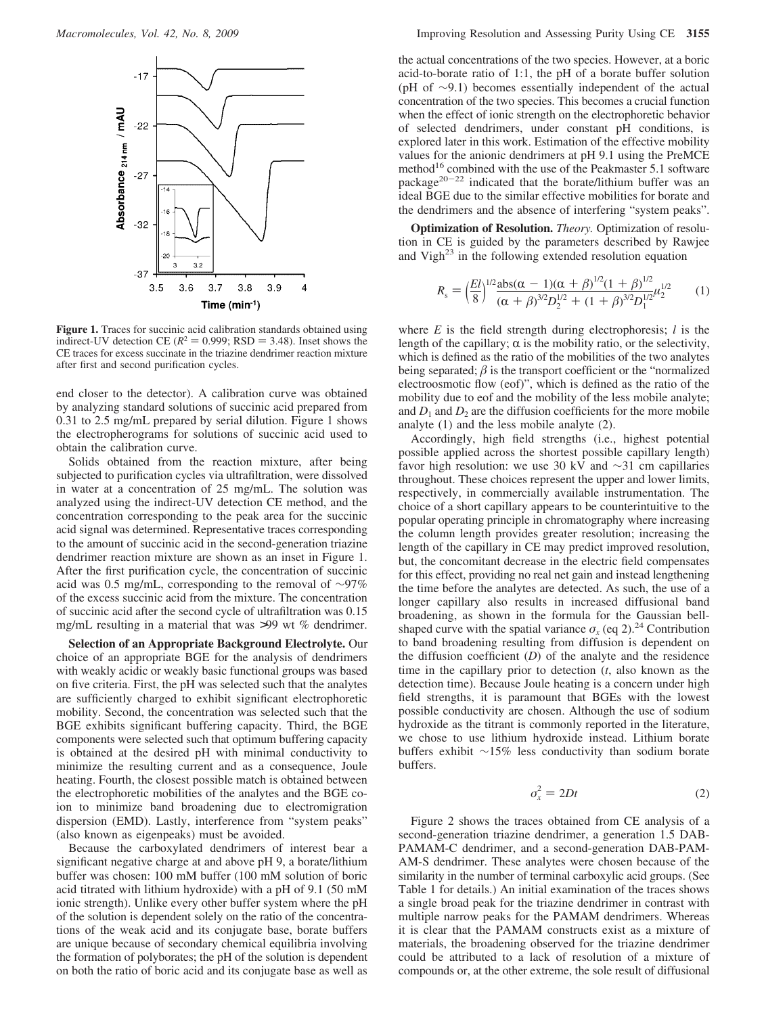

**Figure 1.** Traces for succinic acid calibration standards obtained using indirect-UV detection CE ( $R^2 = 0.999$ ; RSD = 3.48). Inset shows the CE traces for excess succinate in the triazine dendrimer reaction mixture after first and second purification cycles.

end closer to the detector). A calibration curve was obtained by analyzing standard solutions of succinic acid prepared from 0.31 to 2.5 mg/mL prepared by serial dilution. Figure 1 shows the electropherograms for solutions of succinic acid used to obtain the calibration curve.

Solids obtained from the reaction mixture, after being subjected to purification cycles via ultrafiltration, were dissolved in water at a concentration of 25 mg/mL. The solution was analyzed using the indirect-UV detection CE method, and the concentration corresponding to the peak area for the succinic acid signal was determined. Representative traces corresponding to the amount of succinic acid in the second-generation triazine dendrimer reaction mixture are shown as an inset in Figure 1. After the first purification cycle, the concentration of succinic acid was 0.5 mg/mL, corresponding to the removal of ∼97% of the excess succinic acid from the mixture. The concentration of succinic acid after the second cycle of ultrafiltration was 0.15 mg/mL resulting in a material that was >99 wt % dendrimer.

**Selection of an Appropriate Background Electrolyte.** Our choice of an appropriate BGE for the analysis of dendrimers with weakly acidic or weakly basic functional groups was based on five criteria. First, the pH was selected such that the analytes are sufficiently charged to exhibit significant electrophoretic mobility. Second, the concentration was selected such that the BGE exhibits significant buffering capacity. Third, the BGE components were selected such that optimum buffering capacity is obtained at the desired pH with minimal conductivity to minimize the resulting current and as a consequence, Joule heating. Fourth, the closest possible match is obtained between the electrophoretic mobilities of the analytes and the BGE coion to minimize band broadening due to electromigration dispersion (EMD). Lastly, interference from "system peaks" (also known as eigenpeaks) must be avoided.

Because the carboxylated dendrimers of interest bear a significant negative charge at and above pH 9, a borate/lithium buffer was chosen: 100 mM buffer (100 mM solution of boric acid titrated with lithium hydroxide) with a pH of 9.1 (50 mM ionic strength). Unlike every other buffer system where the pH of the solution is dependent solely on the ratio of the concentrations of the weak acid and its conjugate base, borate buffers are unique because of secondary chemical equilibria involving the formation of polyborates; the pH of the solution is dependent on both the ratio of boric acid and its conjugate base as well as the actual concentrations of the two species. However, at a boric acid-to-borate ratio of 1:1, the pH of a borate buffer solution (pH of ∼9.1) becomes essentially independent of the actual concentration of the two species. This becomes a crucial function when the effect of ionic strength on the electrophoretic behavior of selected dendrimers, under constant pH conditions, is explored later in this work. Estimation of the effective mobility values for the anionic dendrimers at pH 9.1 using the PreMCE method<sup>16</sup> combined with the use of the Peakmaster 5.1 software package $20-22$  indicated that the borate/lithium buffer was an ideal BGE due to the similar effective mobilities for borate and the dendrimers and the absence of interfering "system peaks".

**Optimization of Resolution.** *Theory.* Optimization of resolution in CE is guided by the parameters described by Rawjee and Vigh<sup>23</sup> in the following extended resolution equation

$$
R_{\rm s} = \left(\frac{El}{8}\right)^{1/2} \frac{\text{abs}(\alpha - 1)(\alpha + \beta)^{1/2}(1 + \beta)^{1/2}}{(\alpha + \beta)^{3/2}D_2^{1/2} + (1 + \beta)^{3/2}D_1^{1/2}} \qquad (1)
$$

where *E* is the field strength during electrophoresis; *l* is the length of the capillary;  $\alpha$  is the mobility ratio, or the selectivity, which is defined as the ratio of the mobilities of the two analytes being separated;  $\beta$  is the transport coefficient or the "normalized" electroosmotic flow (eof)", which is defined as the ratio of the mobility due to eof and the mobility of the less mobile analyte; and  $D_1$  and  $D_2$  are the diffusion coefficients for the more mobile analyte (1) and the less mobile analyte (2).

Accordingly, high field strengths (i.e., highest potential possible applied across the shortest possible capillary length) favor high resolution: we use 30 kV and ∼31 cm capillaries throughout. These choices represent the upper and lower limits, respectively, in commercially available instrumentation. The choice of a short capillary appears to be counterintuitive to the popular operating principle in chromatography where increasing the column length provides greater resolution; increasing the length of the capillary in CE may predict improved resolution, but, the concomitant decrease in the electric field compensates for this effect, providing no real net gain and instead lengthening the time before the analytes are detected. As such, the use of a longer capillary also results in increased diffusional band broadening, as shown in the formula for the Gaussian bellshaped curve with the spatial variance  $\sigma_x$  (eq 2).<sup>24</sup> Contribution to band broadening resulting from diffusion is dependent on the diffusion coefficient (*D*) of the analyte and the residence time in the capillary prior to detection (*t*, also known as the detection time). Because Joule heating is a concern under high field strengths, it is paramount that BGEs with the lowest possible conductivity are chosen. Although the use of sodium hydroxide as the titrant is commonly reported in the literature, we chose to use lithium hydroxide instead. Lithium borate buffers exhibit ∼15% less conductivity than sodium borate buffers.

$$
\sigma_x^2 = 2Dt \tag{2}
$$

Figure 2 shows the traces obtained from CE analysis of a second-generation triazine dendrimer, a generation 1.5 DAB-PAMAM-C dendrimer, and a second-generation DAB-PAM-AM-S dendrimer. These analytes were chosen because of the similarity in the number of terminal carboxylic acid groups. (See Table 1 for details.) An initial examination of the traces shows a single broad peak for the triazine dendrimer in contrast with multiple narrow peaks for the PAMAM dendrimers. Whereas it is clear that the PAMAM constructs exist as a mixture of materials, the broadening observed for the triazine dendrimer could be attributed to a lack of resolution of a mixture of compounds or, at the other extreme, the sole result of diffusional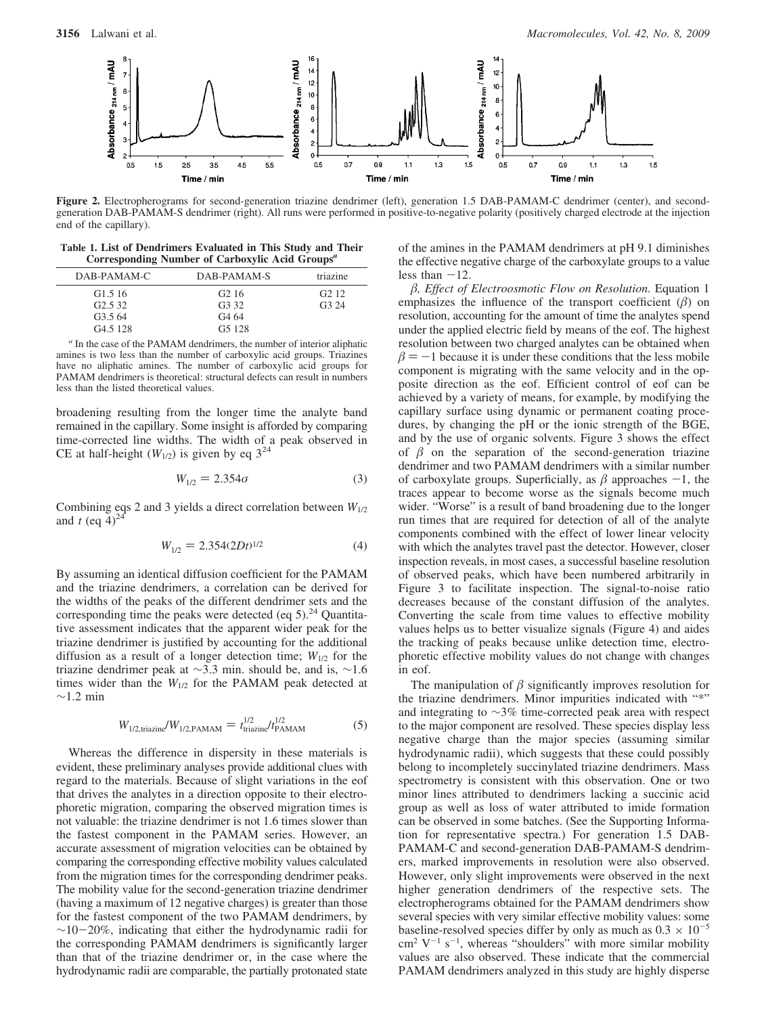

**Figure 2.** Electropherograms for second-generation triazine dendrimer (left), generation 1.5 DAB-PAMAM-C dendrimer (center), and secondgeneration DAB-PAMAM-S dendrimer (right). All runs were performed in positive-to-negative polarity (positively charged electrode at the injection end of the capillary).

**Table 1. List of Dendrimers Evaluated in This Study and Their Corresponding Number of Carboxylic Acid Groups***<sup>a</sup>*

| DAB-PAMAM-C          | DAB-PAMAM-S        | triazine |
|----------------------|--------------------|----------|
| G <sub>1.5</sub> 16  | G <sub>2</sub> 16  | G2.12    |
| G2.532               | G <sub>3</sub> 32  | G324     |
| G3.564               | G <sub>4</sub> 64  |          |
| G <sub>4.5</sub> 128 | G <sub>5</sub> 128 |          |

*<sup>a</sup>* In the case of the PAMAM dendrimers, the number of interior aliphatic amines is two less than the number of carboxylic acid groups. Triazines have no aliphatic amines. The number of carboxylic acid groups for PAMAM dendrimers is theoretical: structural defects can result in numbers less than the listed theoretical values.

broadening resulting from the longer time the analyte band remained in the capillary. Some insight is afforded by comparing time-corrected line widths. The width of a peak observed in CE at half-height  $(W_{1/2})$  is given by eq  $3^{24}$ 

$$
W_{1/2} = 2.354\sigma \tag{3}
$$

Combining eqs 2 and 3 yields a direct correlation between *W*1/2 and  $t$  (eq  $4)^{24}$ 

$$
W_{1/2} = 2.354(2Dt)^{1/2} \tag{4}
$$

By assuming an identical diffusion coefficient for the PAMAM and the triazine dendrimers, a correlation can be derived for the widths of the peaks of the different dendrimer sets and the corresponding time the peaks were detected (eq  $5$ ).<sup>24</sup> Quantitative assessment indicates that the apparent wider peak for the triazine dendrimer is justified by accounting for the additional diffusion as a result of a longer detection time;  $W_{1/2}$  for the triazine dendrimer peak at ∼3.3 min. should be, and is, ∼1.6 times wider than the  $W_{1/2}$  for the PAMAM peak detected at ∼1.2 min

$$
W_{1/2,\text{triazine}}/W_{1/2,\text{PAMAM}} = t_{\text{triazine}}^{1/2} / t_{\text{PAMAM}}^{1/2}
$$
 (5)

Whereas the difference in dispersity in these materials is evident, these preliminary analyses provide additional clues with regard to the materials. Because of slight variations in the eof that drives the analytes in a direction opposite to their electrophoretic migration, comparing the observed migration times is not valuable: the triazine dendrimer is not 1.6 times slower than the fastest component in the PAMAM series. However, an accurate assessment of migration velocities can be obtained by comparing the corresponding effective mobility values calculated from the migration times for the corresponding dendrimer peaks. The mobility value for the second-generation triazine dendrimer (having a maximum of 12 negative charges) is greater than those for the fastest component of the two PAMAM dendrimers, by <sup>∼</sup>10-20%, indicating that either the hydrodynamic radii for the corresponding PAMAM dendrimers is significantly larger than that of the triazine dendrimer or, in the case where the hydrodynamic radii are comparable, the partially protonated state of the amines in the PAMAM dendrimers at pH 9.1 diminishes the effective negative charge of the carboxylate groups to a value less than  $-12$ .

*-, Effect of Electroosmotic Flow on Resolution.* Equation 1 emphasizes the influence of the transport coefficient  $(\beta)$  on resolution, accounting for the amount of time the analytes spend under the applied electric field by means of the eof. The highest resolution between two charged analytes can be obtained when  $\beta = -1$  because it is under these conditions that the less mobile component is migrating with the same velocity and in the oncomponent is migrating with the same velocity and in the opposite direction as the eof. Efficient control of eof can be achieved by a variety of means, for example, by modifying the capillary surface using dynamic or permanent coating procedures, by changing the pH or the ionic strength of the BGE, and by the use of organic solvents. Figure 3 shows the effect of  $\beta$  on the separation of the second-generation triazine dendrimer and two PAMAM dendrimers with a similar number of carboxylate groups. Superficially, as  $\beta$  approaches  $-1$ , the traces appear to become worse as the signals become much traces appear to become worse as the signals become much wider. "Worse" is a result of band broadening due to the longer run times that are required for detection of all of the analyte components combined with the effect of lower linear velocity with which the analytes travel past the detector. However, closer inspection reveals, in most cases, a successful baseline resolution of observed peaks, which have been numbered arbitrarily in Figure 3 to facilitate inspection. The signal-to-noise ratio decreases because of the constant diffusion of the analytes. Converting the scale from time values to effective mobility values helps us to better visualize signals (Figure 4) and aides the tracking of peaks because unlike detection time, electrophoretic effective mobility values do not change with changes in eof.

The manipulation of  $\beta$  significantly improves resolution for the triazine dendrimers. Minor impurities indicated with "\*" and integrating to ∼3% time-corrected peak area with respect to the major component are resolved. These species display less negative charge than the major species (assuming similar hydrodynamic radii), which suggests that these could possibly belong to incompletely succinylated triazine dendrimers. Mass spectrometry is consistent with this observation. One or two minor lines attributed to dendrimers lacking a succinic acid group as well as loss of water attributed to imide formation can be observed in some batches. (See the Supporting Information for representative spectra.) For generation 1.5 DAB-PAMAM-C and second-generation DAB-PAMAM-S dendrimers, marked improvements in resolution were also observed. However, only slight improvements were observed in the next higher generation dendrimers of the respective sets. The electropherograms obtained for the PAMAM dendrimers show several species with very similar effective mobility values: some baseline-resolved species differ by only as much as  $0.3 \times 10^{-5}$  $\text{cm}^2$  V<sup>-1</sup> s<sup>-1</sup>, whereas "shoulders" with more similar mobility values are also observed. These indicate that the commercial PAMAM dendrimers analyzed in this study are highly disperse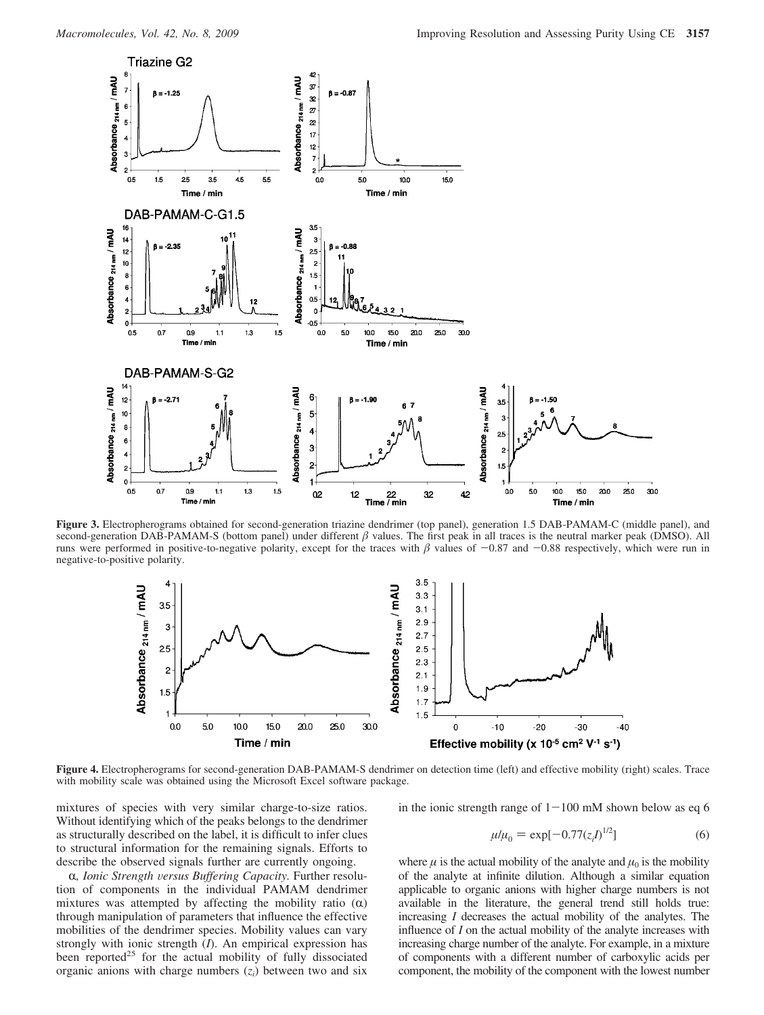

**Figure 3.** Electropherograms obtained for second-generation triazine dendrimer (top panel), generation 1.5 DAB-PAMAM-C (middle panel), and second-generation DAB-PAMAM-S (bottom panel) under different  $\beta$  values. The first peak in all traces is the neutral marker peak (DMSO). All runs were performed in positive-to-negative polarity, except for the traces with  $\beta$  values of  $-0.87$  and  $-0.88$  respectively, which were run in negative-to-nositive polarity. negative-to-positive polarity.



**Figure 4.** Electropherograms for second-generation DAB-PAMAM-S dendrimer on detection time (left) and effective mobility (right) scales. Trace with mobility scale was obtained using the Microsoft Excel software package.

mixtures of species with very similar charge-to-size ratios. Without identifying which of the peaks belongs to the dendrimer as structurally described on the label, it is difficult to infer clues to structural information for the remaining signals. Efforts to describe the observed signals further are currently ongoing.

R*, Ionic Strength* V*ersus Buffering Capacity.* Further resolution of components in the individual PAMAM dendrimer mixtures was attempted by affecting the mobility ratio  $(\alpha)$ through manipulation of parameters that influence the effective mobilities of the dendrimer species. Mobility values can vary strongly with ionic strength (*I*). An empirical expression has been reported<sup>25</sup> for the actual mobility of fully dissociated organic anions with charge numbers  $(z<sub>i</sub>)$  between two and six in the ionic strength range of  $1-100$  mM shown below as eq 6

$$
\mu/\mu_0 = \exp[-0.77(z_i)^{1/2}] \tag{6}
$$

where  $\mu$  is the actual mobility of the analyte and  $\mu_0$  is the mobility of the analyte at infinite dilution. Although a similar equation applicable to organic anions with higher charge numbers is not available in the literature, the general trend still holds true: increasing *I* decreases the actual mobility of the analytes. The influence of *I* on the actual mobility of the analyte increases with increasing charge number of the analyte. For example, in a mixture of components with a different number of carboxylic acids per component, the mobility of the component with the lowest number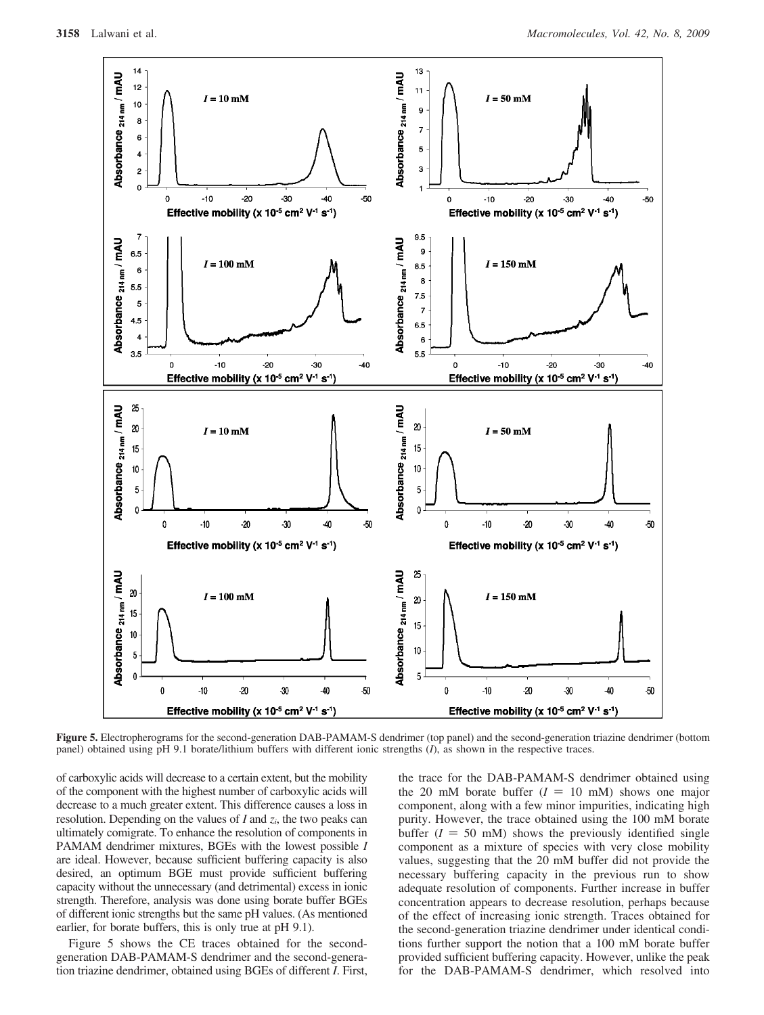

**Figure 5.** Electropherograms for the second-generation DAB-PAMAM-S dendrimer (top panel) and the second-generation triazine dendrimer (bottom panel) obtained using pH 9.1 borate/lithium buffers with different ionic strengths (*I*), as shown in the respective traces.

of carboxylic acids will decrease to a certain extent, but the mobility of the component with the highest number of carboxylic acids will decrease to a much greater extent. This difference causes a loss in resolution. Depending on the values of *I* and *zi*, the two peaks can ultimately comigrate. To enhance the resolution of components in PAMAM dendrimer mixtures, BGEs with the lowest possible *I* are ideal. However, because sufficient buffering capacity is also desired, an optimum BGE must provide sufficient buffering capacity without the unnecessary (and detrimental) excess in ionic strength. Therefore, analysis was done using borate buffer BGEs of different ionic strengths but the same pH values. (As mentioned earlier, for borate buffers, this is only true at pH 9.1).

Figure 5 shows the CE traces obtained for the secondgeneration DAB-PAMAM-S dendrimer and the second-generation triazine dendrimer, obtained using BGEs of different *I*. First, the trace for the DAB-PAMAM-S dendrimer obtained using the 20 mM borate buffer  $(I = 10 \text{ mM})$  shows one major component, along with a few minor impurities, indicating high purity. However, the trace obtained using the 100 mM borate buffer  $(I = 50 \text{ mM})$  shows the previously identified single component as a mixture of species with very close mobility values, suggesting that the 20 mM buffer did not provide the necessary buffering capacity in the previous run to show adequate resolution of components. Further increase in buffer concentration appears to decrease resolution, perhaps because of the effect of increasing ionic strength. Traces obtained for the second-generation triazine dendrimer under identical conditions further support the notion that a 100 mM borate buffer provided sufficient buffering capacity. However, unlike the peak for the DAB-PAMAM-S dendrimer, which resolved into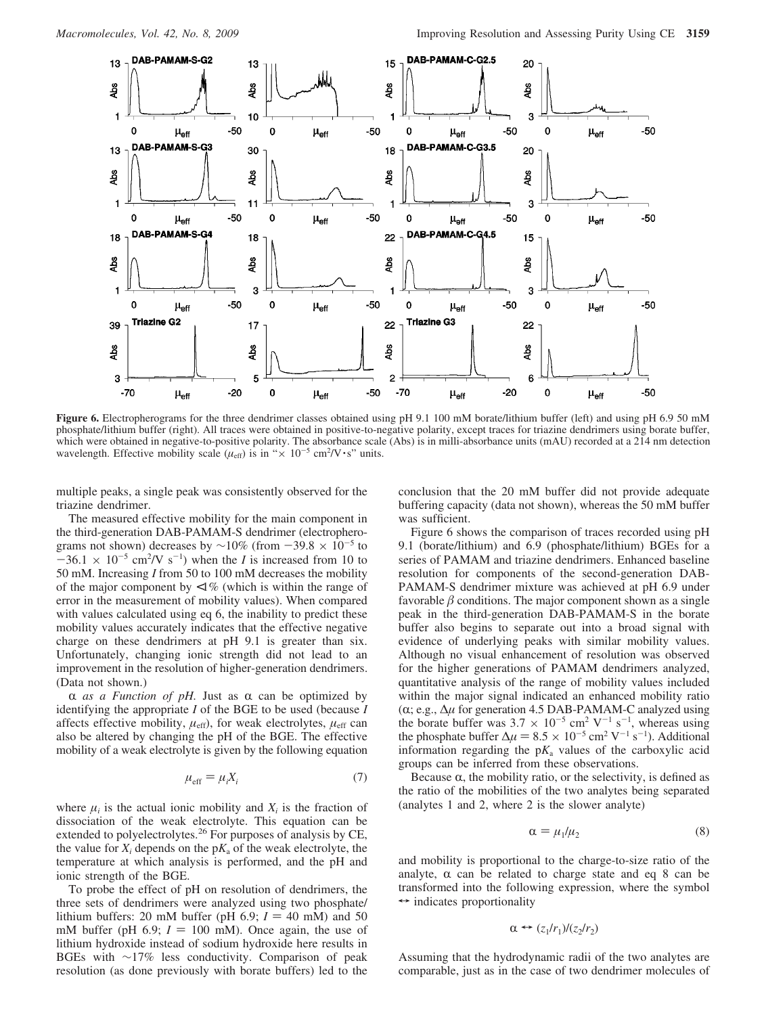

**Figure 6.** Electropherograms for the three dendrimer classes obtained using pH 9.1 100 mM borate/lithium buffer (left) and using pH 6.9 50 mM phosphate/lithium buffer (right). All traces were obtained in positive-to-negative polarity, except traces for triazine dendrimers using borate buffer, which were obtained in negative-to-positive polarity. The absorbance scale (Abs) is in milli-absorbance units (mAU) recorded at a 214 nm detection wavelength. Effective mobility scale  $(\mu_{eff})$  is in " $\times$  10<sup>-5</sup> cm<sup>2</sup>/V ·s" units.

multiple peaks, a single peak was consistently observed for the triazine dendrimer.

The measured effective mobility for the main component in the third-generation DAB-PAMAM-S dendrimer (electropherograms not shown) decreases by  $\sim$ 10% (from  $-39.8 \times 10^{-5}$  to  $-36.1 \times 10^{-5}$  cm<sup>2</sup>/V s<sup>-1</sup>) when the *I* is increased from 10 to 50 mM Increasing *I* from 50 to 100 mM decreases the mobility 50 mM. Increasing *I* from 50 to 100 mM decreases the mobility of the major component by  $\langle 1\% \rangle$  (which is within the range of error in the measurement of mobility values). When compared with values calculated using eq 6, the inability to predict these mobility values accurately indicates that the effective negative charge on these dendrimers at pH 9.1 is greater than six. Unfortunately, changing ionic strength did not lead to an improvement in the resolution of higher-generation dendrimers. (Data not shown.)

 $\alpha$  *as a Function of pH*. Just as  $\alpha$  can be optimized by identifying the appropriate *I* of the BGE to be used (because *I* affects effective mobility,  $\mu_{\text{eff}}$ ), for weak electrolytes,  $\mu_{\text{eff}}$  can also be altered by changing the pH of the BGE. The effective mobility of a weak electrolyte is given by the following equation

$$
\mu_{\text{eff}} = \mu_i X_i \tag{7}
$$

where  $\mu_i$  is the actual ionic mobility and  $X_i$  is the fraction of dissociation of the weak electrolyte. This equation can be extended to polyelectrolytes.<sup>26</sup> For purposes of analysis by CE, the value for  $X_i$  depends on the  $p_{i}X_a$  of the weak electrolyte, the temperature at which analysis is performed, and the pH and ionic strength of the BGE.

To probe the effect of pH on resolution of dendrimers, the three sets of dendrimers were analyzed using two phosphate/ lithium buffers: 20 mM buffer (pH 6.9;  $I = 40$  mM) and 50 mM buffer (pH  $6.9$ ;  $I = 100$  mM). Once again, the use of lithium hydroxide instead of sodium hydroxide here results in BGEs with ∼17% less conductivity. Comparison of peak resolution (as done previously with borate buffers) led to the conclusion that the 20 mM buffer did not provide adequate buffering capacity (data not shown), whereas the 50 mM buffer was sufficient.

Figure 6 shows the comparison of traces recorded using pH 9.1 (borate/lithium) and 6.9 (phosphate/lithium) BGEs for a series of PAMAM and triazine dendrimers. Enhanced baseline resolution for components of the second-generation DAB-PAMAM-S dendrimer mixture was achieved at pH 6.9 under favorable  $\beta$  conditions. The major component shown as a single peak in the third-generation DAB-PAMAM-S in the borate buffer also begins to separate out into a broad signal with evidence of underlying peaks with similar mobility values. Although no visual enhancement of resolution was observed for the higher generations of PAMAM dendrimers analyzed, quantitative analysis of the range of mobility values included within the major signal indicated an enhanced mobility ratio (α; e.g., Δ*μ* for generation 4.5 DAB-PAMAM-C analyzed using the borate buffer was  $3.7 \times 10^{-5}$  cm<sup>2</sup> V<sup>-1</sup> s<sup>-1</sup>, whereas using the phosphate buffer  $\Delta \mu = 8.5 \times 10^{-5}$  cm<sup>2</sup> V<sup>-1</sup> s<sup>-1</sup>). Additional information regarding the pK, values of the carboxylic acid information regarding the  $pK_a$  values of the carboxylic acid groups can be inferred from these observations.

Because  $\alpha$ , the mobility ratio, or the selectivity, is defined as the ratio of the mobilities of the two analytes being separated (analytes 1 and 2, where 2 is the slower analyte)

$$
\alpha = \mu_1/\mu_2 \tag{8}
$$

and mobility is proportional to the charge-to-size ratio of the analyte,  $\alpha$  can be related to charge state and eq 8 can be transformed into the following expression, where the symbol  $\leftrightarrow$  indicates proportionality

$$
\alpha \leftrightarrow (z_1/r_1)/(z_2/r_2)
$$

Assuming that the hydrodynamic radii of the two analytes are comparable, just as in the case of two dendrimer molecules of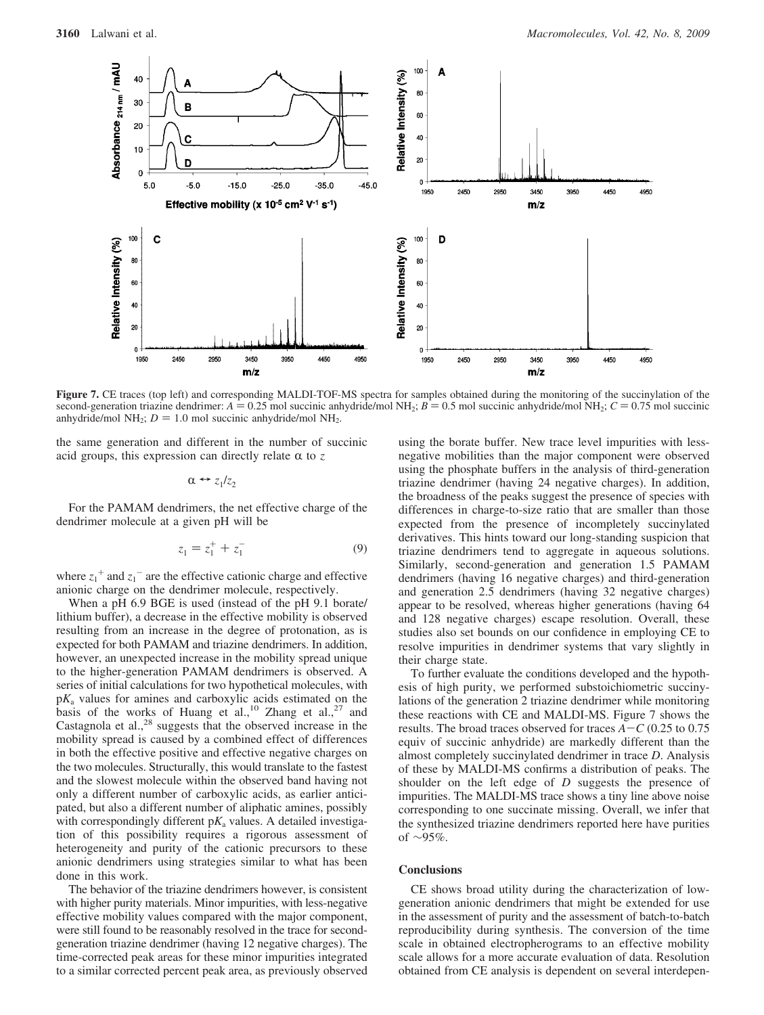

**Figure 7.** CE traces (top left) and corresponding MALDI-TOF-MS spectra for samples obtained during the monitoring of the succinylation of the second-generation triazine dendrimer:  $A = 0.25$  mol succinic anhydride/mol NH<sub>2</sub>;  $B = 0.5$  mol succinic anhydride/mol NH<sub>2</sub>;  $C = 0.75$  mol succinic anhydride/mol NH<sub>2</sub>;  $D = 1.0$  mol succinic anhydride/mol NH<sub>2</sub>.

the same generation and different in the number of succinic acid groups, this expression can directly relate  $\alpha$  to  $\zeta$ 

$$
\alpha \leftrightarrow z_1/z_2
$$

For the PAMAM dendrimers, the net effective charge of the dendrimer molecule at a given pH will be

$$
z_1 = z_1^+ + z_1^- \tag{9}
$$

where  $z_1^+$  and  $z_1^-$  are the effective cationic charge and effective anionic charge on the dendrimer molecule, respectively.

When a pH 6.9 BGE is used (instead of the pH 9.1 borate/ lithium buffer), a decrease in the effective mobility is observed resulting from an increase in the degree of protonation, as is expected for both PAMAM and triazine dendrimers. In addition, however, an unexpected increase in the mobility spread unique to the higher-generation PAMAM dendrimers is observed. A series of initial calculations for two hypothetical molecules, with p*K*<sup>a</sup> values for amines and carboxylic acids estimated on the basis of the works of Huang et al.,<sup>10</sup> Zhang et al.,<sup>27</sup> and Castagnola et al.,<sup>28</sup> suggests that the observed increase in the mobility spread is caused by a combined effect of differences in both the effective positive and effective negative charges on the two molecules. Structurally, this would translate to the fastest and the slowest molecule within the observed band having not only a different number of carboxylic acids, as earlier anticipated, but also a different number of aliphatic amines, possibly with correspondingly different  $pK_a$  values. A detailed investigation of this possibility requires a rigorous assessment of heterogeneity and purity of the cationic precursors to these anionic dendrimers using strategies similar to what has been done in this work.

The behavior of the triazine dendrimers however, is consistent with higher purity materials. Minor impurities, with less-negative effective mobility values compared with the major component, were still found to be reasonably resolved in the trace for secondgeneration triazine dendrimer (having 12 negative charges). The time-corrected peak areas for these minor impurities integrated to a similar corrected percent peak area, as previously observed

using the borate buffer. New trace level impurities with lessnegative mobilities than the major component were observed using the phosphate buffers in the analysis of third-generation triazine dendrimer (having 24 negative charges). In addition, the broadness of the peaks suggest the presence of species with differences in charge-to-size ratio that are smaller than those expected from the presence of incompletely succinylated derivatives. This hints toward our long-standing suspicion that triazine dendrimers tend to aggregate in aqueous solutions. Similarly, second-generation and generation 1.5 PAMAM dendrimers (having 16 negative charges) and third-generation and generation 2.5 dendrimers (having 32 negative charges) appear to be resolved, whereas higher generations (having 64 and 128 negative charges) escape resolution. Overall, these studies also set bounds on our confidence in employing CE to resolve impurities in dendrimer systems that vary slightly in their charge state.

To further evaluate the conditions developed and the hypothesis of high purity, we performed substoichiometric succinylations of the generation 2 triazine dendrimer while monitoring these reactions with CE and MALDI-MS. Figure 7 shows the results. The broad traces observed for traces *<sup>A</sup>*-*<sup>C</sup>* (0.25 to 0.75 equiv of succinic anhydride) are markedly different than the almost completely succinylated dendrimer in trace *D*. Analysis of these by MALDI-MS confirms a distribution of peaks. The shoulder on the left edge of *D* suggests the presence of impurities. The MALDI-MS trace shows a tiny line above noise corresponding to one succinate missing. Overall, we infer that the synthesized triazine dendrimers reported here have purities of ∼95%.

### **Conclusions**

CE shows broad utility during the characterization of lowgeneration anionic dendrimers that might be extended for use in the assessment of purity and the assessment of batch-to-batch reproducibility during synthesis. The conversion of the time scale in obtained electropherograms to an effective mobility scale allows for a more accurate evaluation of data. Resolution obtained from CE analysis is dependent on several interdepen-